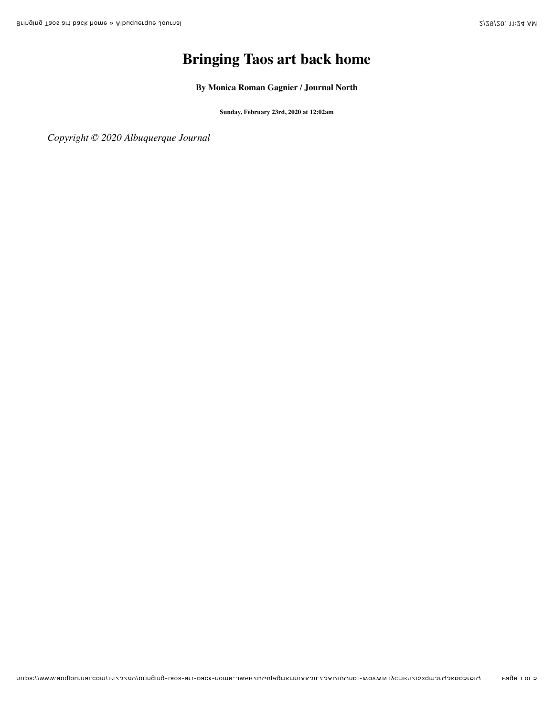## **Bringing Taos art back home**

**By [Monica Roman Gagnier / Journal North](https://www.abqjournal.com/author/mrgagnier)**

**Sunday, February 23rd, 2020 at 12:02am**

*Copyright © 2020 Albuquerque Journal*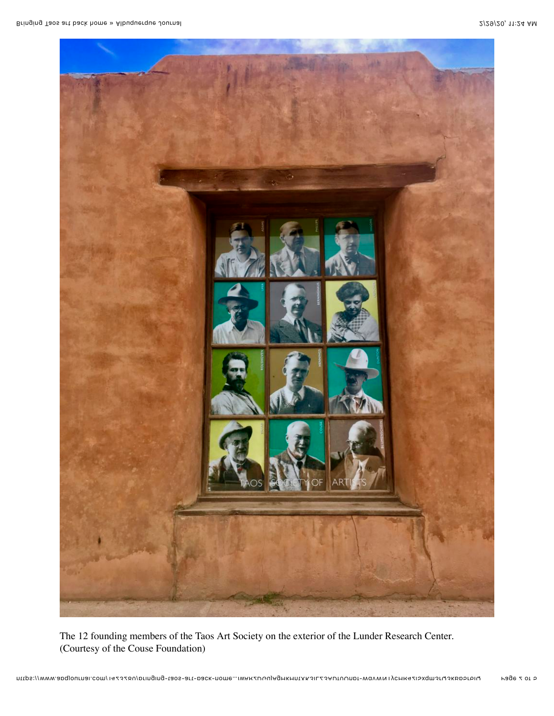

The 12 founding members of the Taos Art Society on the exterior of the Lunder Research Center. (Courtesy of the Couse Foundation)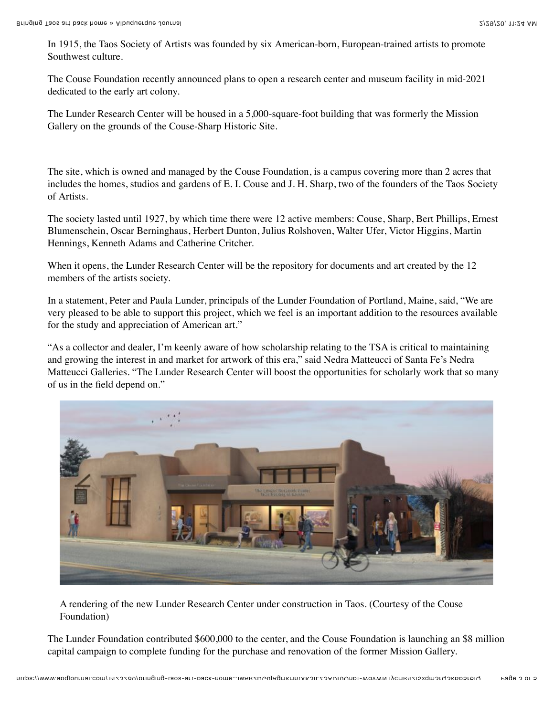In 1915, the Taos Society of Artists was founded by six American-born, European-trained artists to promote Southwest culture.

The Couse Foundation recently announced plans to open a research center and museum facility in mid-2021 dedicated to the early art colony.

The Lunder Research Center will be housed in a 5,000-square-foot building that was formerly the Mission Gallery on the grounds of the Couse-Sharp Historic Site.

The site, which is owned and managed by the Couse Foundation, is a campus covering more than 2 acres that includes the homes, studios and gardens of E. I. Couse and J. H. Sharp, two of the founders of the Taos Society of Artists.

The society lasted until 1927, by which time there were 12 active members: Couse, Sharp, Bert Phillips, Ernest Blumenschein, Oscar Berninghaus, Herbert Dunton, Julius Rolshoven, Walter Ufer, Victor Higgins, Martin Hennings, Kenneth Adams and Catherine Critcher.

When it opens, the Lunder Research Center will be the repository for documents and art created by the 12 members of the artists society.

In a statement, Peter and Paula Lunder, principals of the Lunder Foundation of Portland, Maine, said, "We are very pleased to be able to support this project, which we feel is an important addition to the resources available for the study and appreciation of American art."

"As a collector and dealer, I'm keenly aware of how scholarship relating to the TSA is critical to maintaining and growing the interest in and market for artwork of this era," said Nedra Matteucci of Santa Fe's Nedra Matteucci Galleries. "The Lunder Research Center will boost the opportunities for scholarly work that so many of us in the field depend on."



A rendering of the new Lunder Research Center under construction in Taos. (Courtesy of the Couse Foundation)

The Lunder Foundation contributed \$600,000 to the center, and the Couse Foundation is launching an \$8 million capital campaign to complete funding for the purchase and renovation of the former Mission Gallery.